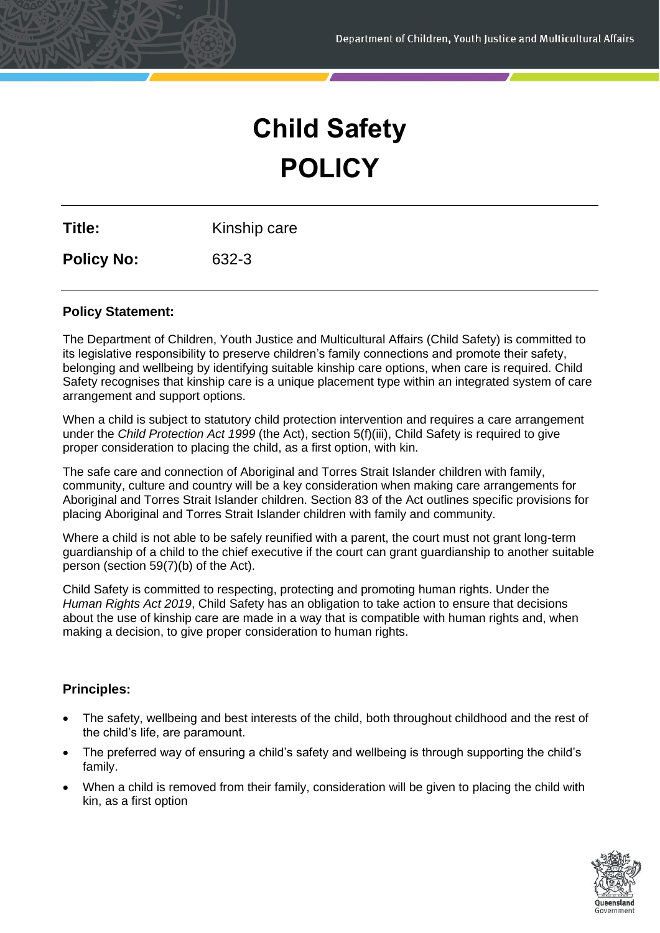# **Child Safety POLICY**

**Title:** Kinship care

**Policy No:** 632-3

# **Policy Statement:**

The Department of Children, Youth Justice and Multicultural Affairs (Child Safety) is committed to its legislative responsibility to preserve children's family connections and promote their safety, belonging and wellbeing by identifying suitable kinship care options, when care is required. Child Safety recognises that kinship care is a unique placement type within an integrated system of care arrangement and support options.

When a child is subject to statutory child protection intervention and requires a care arrangement under the *Child Protection Act 1999* (the Act), section 5(f)(iii), Child Safety is required to give proper consideration to placing the child, as a first option, with kin.

The safe care and connection of Aboriginal and Torres Strait Islander children with family, community, culture and country will be a key consideration when making care arrangements for Aboriginal and Torres Strait Islander children. Section 83 of the Act outlines specific provisions for placing Aboriginal and Torres Strait Islander children with family and community.

Where a child is not able to be safely reunified with a parent, the court must not grant long-term guardianship of a child to the chief executive if the court can grant guardianship to another suitable person (section 59(7)(b) of the Act).

Child Safety is committed to respecting, protecting and promoting human rights. Under the *Human Rights Act 2019*, Child Safety has an obligation to take action to ensure that decisions about the use of kinship care are made in a way that is compatible with human rights and, when making a decision, to give proper consideration to human rights.

# **Principles:**

- The safety, wellbeing and best interests of the child, both throughout childhood and the rest of the child's life, are paramount.
- The preferred way of ensuring a child's safety and wellbeing is through supporting the child's family.
- When a child is removed from their family, consideration will be given to placing the child with kin, as a first option

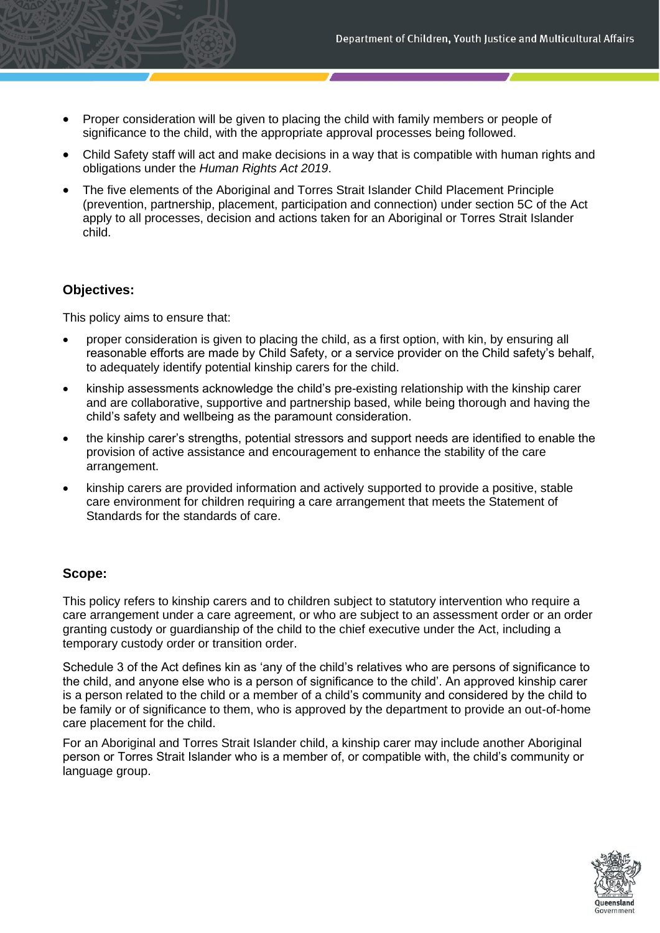- Proper consideration will be given to placing the child with family members or people of significance to the child, with the appropriate approval processes being followed.
- Child Safety staff will act and make decisions in a way that is compatible with human rights and obligations under the *Human Rights Act 2019*.
- The five elements of the Aboriginal and Torres Strait Islander Child Placement Principle (prevention, partnership, placement, participation and connection) under section 5C of the Act apply to all processes, decision and actions taken for an Aboriginal or Torres Strait Islander child.

#### **Objectives:**

This policy aims to ensure that:

- proper consideration is given to placing the child, as a first option, with kin, by ensuring all reasonable efforts are made by Child Safety, or a service provider on the Child safety's behalf, to adequately identify potential kinship carers for the child.
- kinship assessments acknowledge the child's pre-existing relationship with the kinship carer and are collaborative, supportive and partnership based, while being thorough and having the child's safety and wellbeing as the paramount consideration.
- the kinship carer's strengths, potential stressors and support needs are identified to enable the provision of active assistance and encouragement to enhance the stability of the care arrangement.
- kinship carers are provided information and actively supported to provide a positive, stable care environment for children requiring a care arrangement that meets the Statement of Standards for the standards of care.

#### **Scope:**

This policy refers to kinship carers and to children subject to statutory intervention who require a care arrangement under a care agreement, or who are subject to an assessment order or an order granting custody or guardianship of the child to the chief executive under the Act, including a temporary custody order or transition order.

Schedule 3 of the Act defines kin as 'any of the child's relatives who are persons of significance to the child, and anyone else who is a person of significance to the child'. An approved kinship carer is a person related to the child or a member of a child's community and considered by the child to be family or of significance to them, who is approved by the department to provide an out-of-home care placement for the child.

For an Aboriginal and Torres Strait Islander child, a kinship carer may include another Aboriginal person or Torres Strait Islander who is a member of, or compatible with, the child's community or language group.

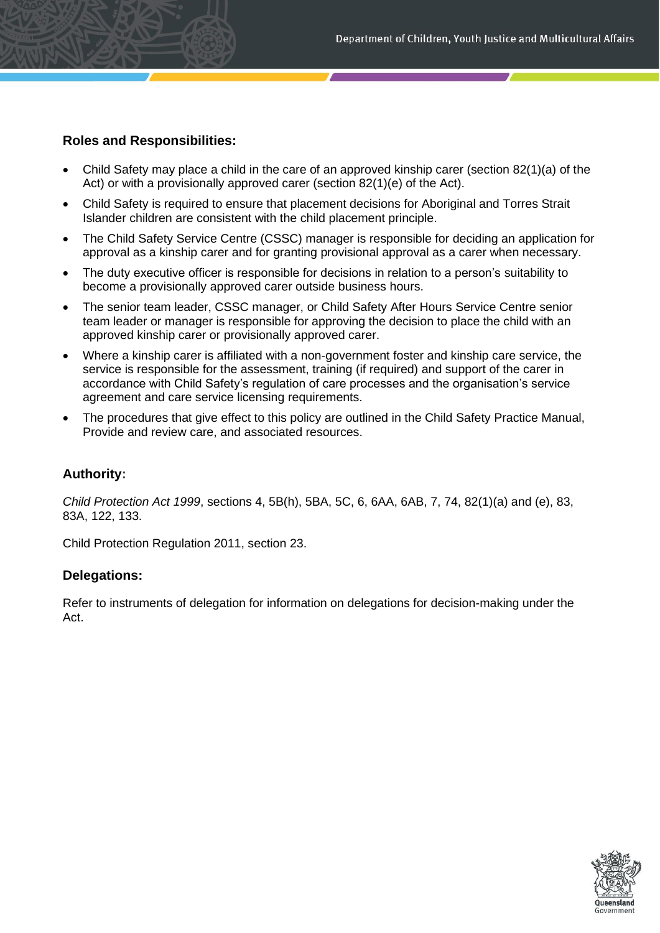# **Roles and Responsibilities:**

- Child Safety may place a child in the care of an approved kinship carer (section 82(1)(a) of the Act) or with a provisionally approved carer (section 82(1)(e) of the Act).
- Child Safety is required to ensure that placement decisions for Aboriginal and Torres Strait Islander children are consistent with the child placement principle.
- The Child Safety Service Centre (CSSC) manager is responsible for deciding an application for approval as a kinship carer and for granting provisional approval as a carer when necessary.
- The duty executive officer is responsible for decisions in relation to a person's suitability to become a provisionally approved carer outside business hours.
- The senior team leader, CSSC manager, or Child Safety After Hours Service Centre senior team leader or manager is responsible for approving the decision to place the child with an approved kinship carer or provisionally approved carer.
- Where a kinship carer is affiliated with a non-government foster and kinship care service, the service is responsible for the assessment, training (if required) and support of the carer in accordance with Child Safety's regulation of care processes and the organisation's service agreement and care service licensing requirements.
- The procedures that give effect to this policy are outlined in the Child Safety Practice Manual, Provide and review care, and associated resources.

#### **Authority:**

*Child Protection Act 1999*, sections 4, 5B(h), 5BA, 5C, 6, 6AA, 6AB, 7, 74, 82(1)(a) and (e), 83, 83A, 122, 133.

Child Protection Regulation 2011, section 23.

#### **Delegations:**

Refer to instruments of delegation for information on delegations for decision-making under the Act.

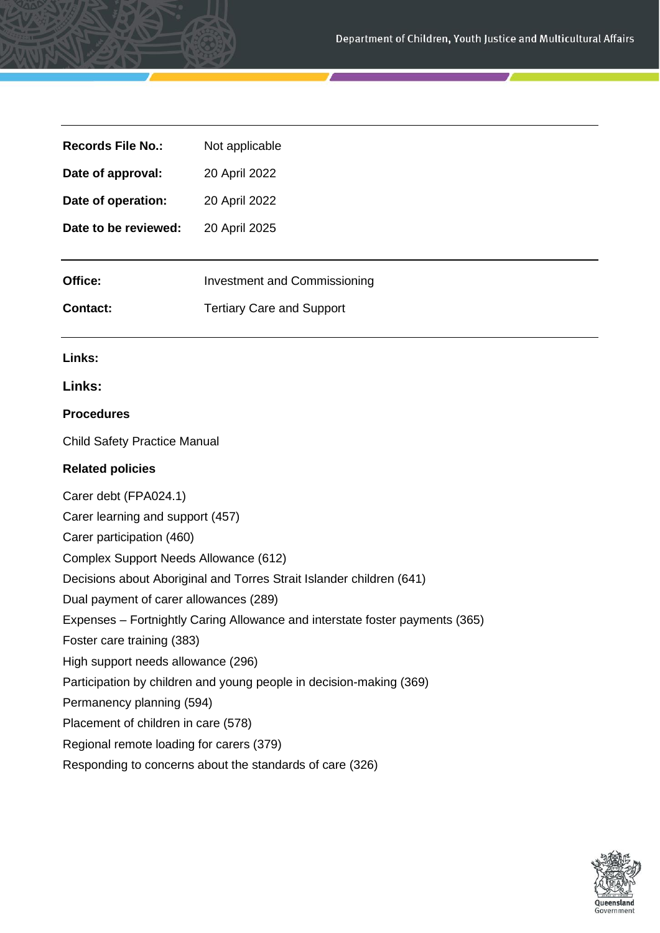| <b>Records File No.:</b>                                                     | Not applicable                      |
|------------------------------------------------------------------------------|-------------------------------------|
| Date of approval:                                                            | 20 April 2022                       |
| Date of operation:                                                           | 20 April 2022                       |
| Date to be reviewed:                                                         | 20 April 2025                       |
| Office:                                                                      | <b>Investment and Commissioning</b> |
| <b>Contact:</b>                                                              | <b>Tertiary Care and Support</b>    |
| Links:                                                                       |                                     |
| Links:                                                                       |                                     |
| <b>Procedures</b>                                                            |                                     |
| <b>Child Safety Practice Manual</b>                                          |                                     |
| <b>Related policies</b>                                                      |                                     |
| Carer debt (FPA024.1)                                                        |                                     |
| Carer learning and support (457)                                             |                                     |
| Carer participation (460)                                                    |                                     |
| Complex Support Needs Allowance (612)                                        |                                     |
| Decisions about Aboriginal and Torres Strait Islander children (641)         |                                     |
| Dual payment of carer allowances (289)                                       |                                     |
| Expenses - Fortnightly Caring Allowance and interstate foster payments (365) |                                     |
| Foster care training (383)                                                   |                                     |
| High support needs allowance (296)                                           |                                     |
| Participation by children and young people in decision-making (369)          |                                     |
| Permanency planning (594)                                                    |                                     |
| Placement of children in care (578)                                          |                                     |
| Regional remote loading for carers (379)                                     |                                     |
| Responding to concerns about the standards of care (326)                     |                                     |